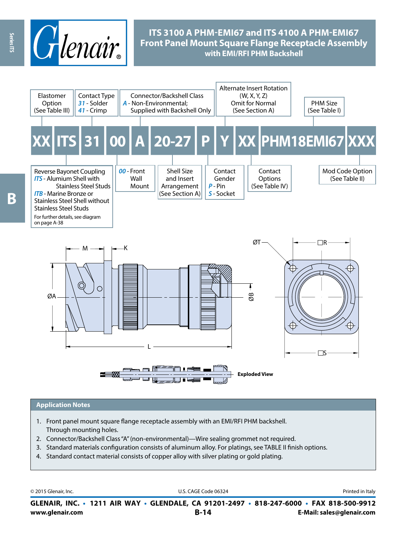

# **ITS 3100 A PHM-EMI67 and ITS 4100 A PHM-EMI67 Front Panel Mount Square Flange Receptacle Assembly with EMI/RFI PHM Backshell**



#### **Application Notes**

- 1. Front panel mount square flange receptacle assembly with an EMI/RFI PHM backshell. Through mounting holes.
- 2. Connector/Backshell Class "A" (non-environmental)—Wire sealing grommet not required.
- 3. Standard materials configuration consists of aluminum alloy. For platings, see TABLE II finish options.
- 4. Standard contact material consists of copper alloy with silver plating or gold plating.

© 2015 Glenair, Inc. **Discription Construction Construction Construction Construction Construction Construction Construction Construction Construction Construction Construction Construction Construction Construction Constr** 

**www.glenair.com B-14 E-Mail: sales@glenair.com GLENAIR, INC. • 1211 AIR WAY • GLENDALE, CA 91201-2497 • 818-247-6000 • FAX 818-500-9912**

Series ITS